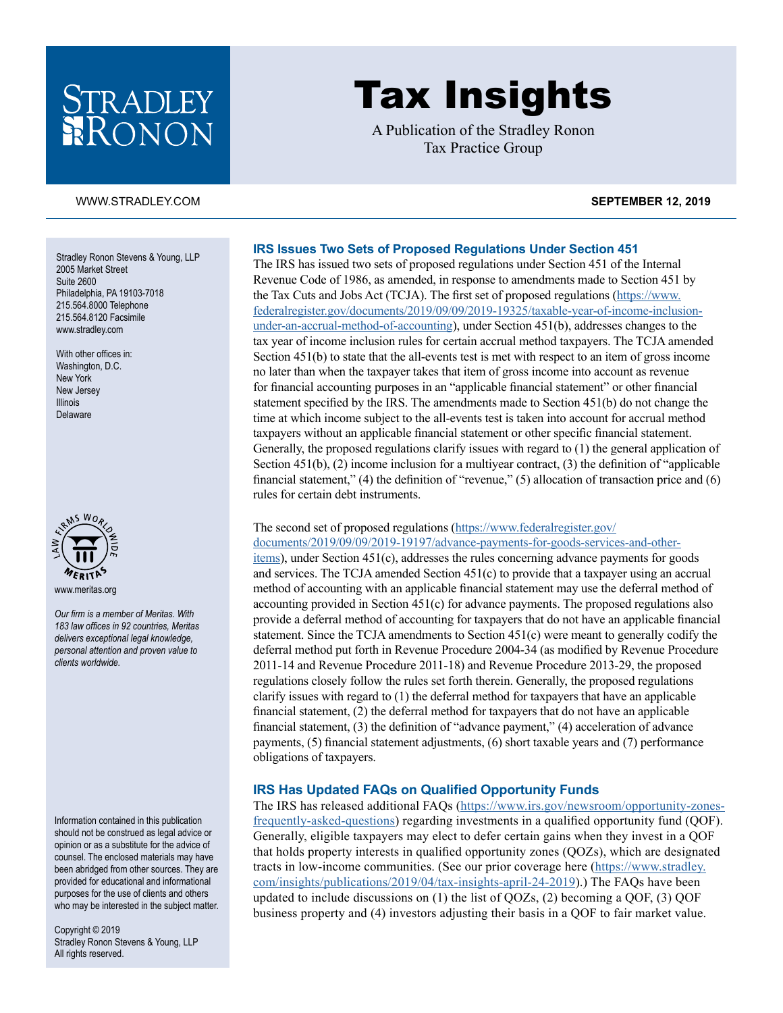## STRADLEY RONON

# Tax Insights

A Publication of the Stradley Ronon Tax Practice Group

#### [WWW.STRADLEY.COM](www.stradley.com) **SEPTEMBER 12, 2019**

Stradley Ronon Stevens & Young, LLP 2005 Market Street Suite 2600 Philadelphia, PA 19103-7018 215.564.8000 Telephone 215.564.8120 Facsimile [www.stradley.com](http://www.stradley.com)

With other offices in: Washington, D.C. New York New Jersey Illinois Delaware



*Our firm is a member of Meritas. With 183 law offices in 92 countries, Meritas delivers exceptional legal knowledge, personal attention and proven value to clients worldwide.* 

Information contained in this publication should not be construed as legal advice or opinion or as a substitute for the advice of counsel. The enclosed materials may have been abridged from other sources. They are provided for educational and informational purposes for the use of clients and others who may be interested in the subject matter.

Copyright © 2019 Stradley Ronon Stevens & Young, LLP All rights reserved.

### **IRS Issues Two Sets of Proposed Regulations Under Section 451**

The IRS has issued two sets of proposed regulations under Section 451 of the Internal Revenue Code of 1986, as amended, in response to amendments made to Section 451 by the Tax Cuts and Jobs Act (TCJA). The first set of proposed regulations ([https://www.](https://www.federalregister.gov/documents/2019/09/09/2019-19325/taxable-year-of-income-inclusion-under-an-accrual-method-of-accounting) [federalregister.gov/documents/2019/09/09/2019-19325/taxable-year-of-income-inclusion](https://www.federalregister.gov/documents/2019/09/09/2019-19325/taxable-year-of-income-inclusion-under-an-accrual-method-of-accounting)[under-an-accrual-method-of-accounting](https://www.federalregister.gov/documents/2019/09/09/2019-19325/taxable-year-of-income-inclusion-under-an-accrual-method-of-accounting)), under Section 451(b), addresses changes to the tax year of income inclusion rules for certain accrual method taxpayers. The TCJA amended Section 451(b) to state that the all-events test is met with respect to an item of gross income no later than when the taxpayer takes that item of gross income into account as revenue for financial accounting purposes in an "applicable financial statement" or other financial statement specified by the IRS. The amendments made to Section 451(b) do not change the time at which income subject to the all-events test is taken into account for accrual method taxpayers without an applicable financial statement or other specific financial statement. Generally, the proposed regulations clarify issues with regard to (1) the general application of Section 451(b), (2) income inclusion for a multiyear contract, (3) the definition of "applicable financial statement," (4) the definition of "revenue," (5) allocation of transaction price and (6) rules for certain debt instruments.

#### The second set of proposed regulations [\(https://www.federalregister.gov/](https://www.federalregister.gov/documents/2019/09/09/2019-19197/advance-payments-for-goods-services-and-other-items)

[documents/2019/09/09/2019-19197/advance-payments-for-goods-services-and-other](https://www.federalregister.gov/documents/2019/09/09/2019-19197/advance-payments-for-goods-services-and-other-items)[items](https://www.federalregister.gov/documents/2019/09/09/2019-19197/advance-payments-for-goods-services-and-other-items)), under Section 451(c), addresses the rules concerning advance payments for goods and services. The TCJA amended Section 451(c) to provide that a taxpayer using an accrual method of accounting with an applicable financial statement may use the deferral method of accounting provided in Section 451(c) for advance payments. The proposed regulations also provide a deferral method of accounting for taxpayers that do not have an applicable financial statement. Since the TCJA amendments to Section 451(c) were meant to generally codify the deferral method put forth in Revenue Procedure 2004-34 (as modified by Revenue Procedure 2011-14 and Revenue Procedure 2011-18) and Revenue Procedure 2013-29, the proposed regulations closely follow the rules set forth therein. Generally, the proposed regulations clarify issues with regard to (1) the deferral method for taxpayers that have an applicable financial statement, (2) the deferral method for taxpayers that do not have an applicable financial statement, (3) the definition of "advance payment," (4) acceleration of advance payments, (5) financial statement adjustments, (6) short taxable years and (7) performance obligations of taxpayers.

#### **IRS Has Updated FAQs on Qualified Opportunity Funds**

The IRS has released additional FAQs [\(https://www.irs.gov/newsroom/opportunity-zones](https://www.irs.gov/newsroom/opportunity-zones-frequently-asked-questions)[frequently-asked-questions](https://www.irs.gov/newsroom/opportunity-zones-frequently-asked-questions)) regarding investments in a qualified opportunity fund (QOF). Generally, eligible taxpayers may elect to defer certain gains when they invest in a QOF that holds property interests in qualified opportunity zones (QOZs), which are designated tracts in low-income communities. (See our prior coverage here [\(https://www.stradley.](https://www.stradley.com/insights/publications/2019/04/tax-insights-april-24-2019) [com/insights/publications/2019/04/tax-insights-april-24-2019](https://www.stradley.com/insights/publications/2019/04/tax-insights-april-24-2019)).) The FAQs have been updated to include discussions on  $(1)$  the list of QOZs,  $(2)$  becoming a QOF,  $(3)$  QOF business property and (4) investors adjusting their basis in a QOF to fair market value.